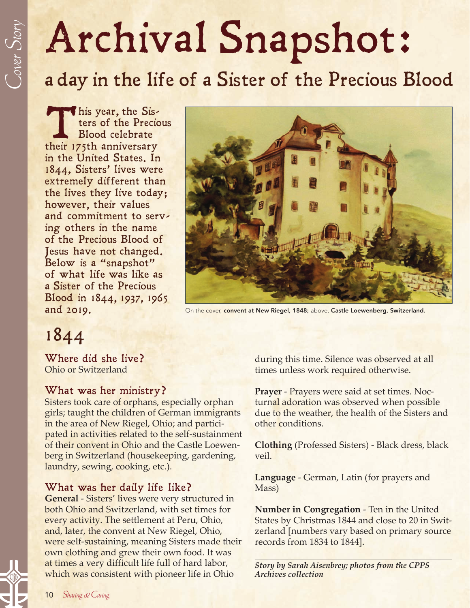# Archival Snapshot:

a day in the life of a Sister of the Precious Blood

This year, the Sis-<br>ters of the Precio<br>Blood celebrate<br>their 175th anniversary ters of the Precious Blood celebrate in the United States. In 1844, Sisters' lives were extremely different than the lives they live today; however, their values and commitment to serving others in the name of the Precious Blood of Jesus have not changed. Below is a "snapshot" of what life was like as a Sister of the Precious Blood in 1844, 1937, 1965



and 2019. Con the cover, convent at New Riegel, 1848; above, Castle Loewenberg, Switzerland.

1844

Where did she live? Ohio or Switzerland

#### What was her ministry?

Sisters took care of orphans, especially orphan girls; taught the children of German immigrants in the area of New Riegel, Ohio; and participated in activities related to the self-sustainment of their convent in Ohio and the Castle Loewenberg in Switzerland (housekeeping, gardening, laundry, sewing, cooking, etc.).

#### What was her daily life like?

**General** - Sisters' lives were very structured in both Ohio and Switzerland, with set times for every activity. The settlement at Peru, Ohio, and, later, the convent at New Riegel, Ohio, were self-sustaining, meaning Sisters made their own clothing and grew their own food. It was at times a very difficult life full of hard labor, which was consistent with pioneer life in Ohio

during this time. Silence was observed at all times unless work required otherwise.

**Prayer** - Prayers were said at set times. Nocturnal adoration was observed when possible due to the weather, the health of the Sisters and other conditions.

**Clothing** (Professed Sisters) - Black dress, black veil.

**Language** - German, Latin (for prayers and Mass)

**Number in Congregation** - Ten in the United States by Christmas 1844 and close to 20 in Switzerland [numbers vary based on primary source records from 1834 to 1844].

*Story by Sarah Aisenbrey; photos from the CPPS Archives collection*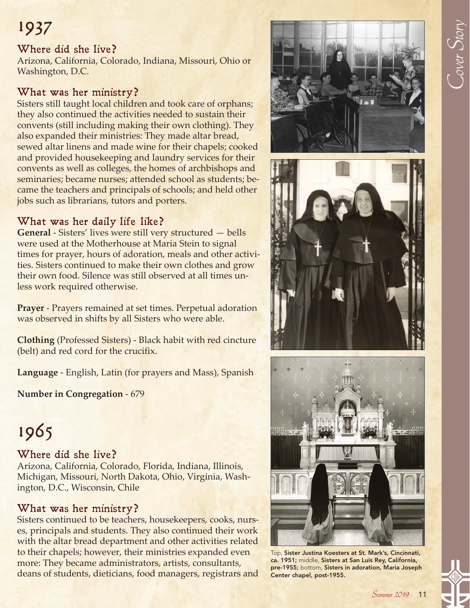## Cover  $S_{\it{tory}}$

### 1937

#### Where did she live?

Arizona, California, Colorado, Indiana, Missouri, Ohio or Washington, D.C.

#### What was her ministry?

Sisters still taught local children and took care of orphans; they also continued the activities needed to sustain their convents (still including making their own clothing). They also expanded their ministries: They made altar bread, sewed altar linens and made wine for their chapels; cooked and provided housekeeping and laundry services for their convents as well as colleges, the homes of archbishops and seminaries; became nurses; attended school as students; became the teachers and principals of schools; and held other jobs such as librarians, tutors and porters.

#### What was her daily life like?

**General** - Sisters' lives were still very structured — bells were used at the Motherhouse at Maria Stein to signal times for prayer, hours of adoration, meals and other activities. Sisters continued to make their own clothes and grow their own food. Silence was still observed at all times unless work required otherwise.

**Prayer** - Prayers remained at set times. Perpetual adoration was observed in shifts by all Sisters who were able.

**Clothing** (Professed Sisters) - Black habit with red cincture (belt) and red cord for the crucifix.

**Language** - English, Latin (for prayers and Mass), Spanish

**Number in Congregation** - 679

## 1965

#### Where did she live?

Arizona, California, Colorado, Florida, Indiana, Illinois, Michigan, Missouri, North Dakota, Ohio, Virginia, Washington, D.C., Wisconsin, Chile

#### What was her ministry?

Sisters continued to be teachers, housekeepers, cooks, nurses, principals and students. They also continued their work with the altar bread department and other activities related to their chapels; however, their ministries expanded even more: They became administrators, artists, consultants, deans of students, dieticians, food managers, registrars and







Top, Sister Justina Koesters at St. Mark's, Cincinnati, ca. 1951; middle, Sisters at San Luis Rey, California, pre-1955; bottom, Sisters in adoration, Maria Joseph Center chapel, post-1955.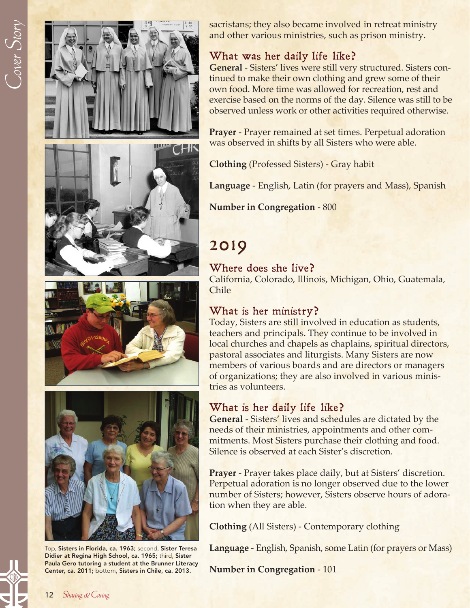

Didier at Regina High School, ca. 1965; third, Sister Paula Gero tutoring a student at the Brunner Literacy Center, ca. 2011; bottom, Sisters in Chile, ca. 2013.

sacristans; they also became involved in retreat ministry and other various ministries, such as prison ministry.

#### What was her daily life like?

**General** - Sisters' lives were still very structured. Sisters continued to make their own clothing and grew some of their own food. More time was allowed for recreation, rest and exercise based on the norms of the day. Silence was still to be observed unless work or other activities required otherwise.

**Prayer** - Prayer remained at set times. Perpetual adoration was observed in shifts by all Sisters who were able.

**Clothing** (Professed Sisters) - Gray habit

**Language** - English, Latin (for prayers and Mass), Spanish

**Number in Congregation** - 800

### 2019

#### Where does she live?

California, Colorado, Illinois, Michigan, Ohio, Guatemala, Chile

#### What is her ministry?

Today, Sisters are still involved in education as students, teachers and principals. They continue to be involved in local churches and chapels as chaplains, spiritual directors, pastoral associates and liturgists. Many Sisters are now members of various boards and are directors or managers of organizations; they are also involved in various ministries as volunteers.

#### What is her daily life like?

**General** - Sisters' lives and schedules are dictated by the needs of their ministries, appointments and other commitments. Most Sisters purchase their clothing and food. Silence is observed at each Sister's discretion.

**Prayer** - Prayer takes place daily, but at Sisters' discretion. Perpetual adoration is no longer observed due to the lower number of Sisters; however, Sisters observe hours of adoration when they are able.

**Clothing** (All Sisters) - Contemporary clothing

**Language** - English, Spanish, some Latin (for prayers or Mass)

**Number in Congregation** - 101